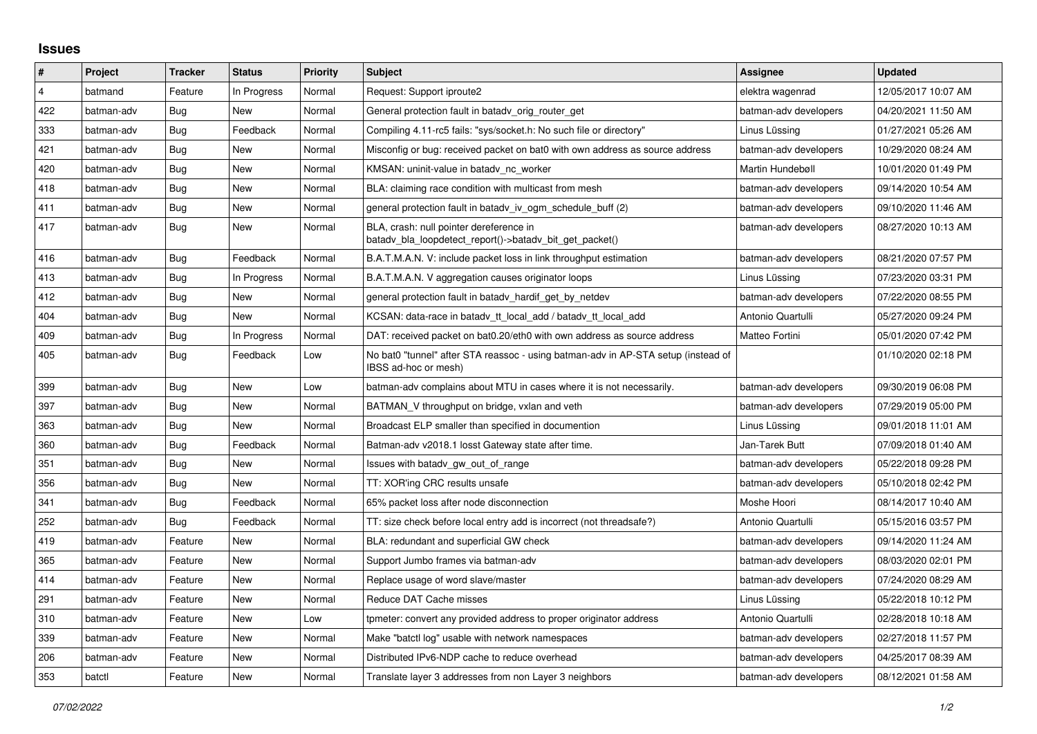## **Issues**

| #              | Project    | <b>Tracker</b> | <b>Status</b> | <b>Priority</b> | <b>Subject</b>                                                                                            | <b>Assignee</b>       | <b>Updated</b>      |
|----------------|------------|----------------|---------------|-----------------|-----------------------------------------------------------------------------------------------------------|-----------------------|---------------------|
| $\overline{4}$ | batmand    | Feature        | In Progress   | Normal          | Request: Support iproute2                                                                                 | elektra wagenrad      | 12/05/2017 10:07 AM |
| 422            | batman-adv | Bug            | New           | Normal          | General protection fault in batady orig router get                                                        | batman-adv developers | 04/20/2021 11:50 AM |
| 333            | batman-adv | Bug            | Feedback      | Normal          | Compiling 4.11-rc5 fails: "sys/socket.h: No such file or directory"                                       | Linus Lüssing         | 01/27/2021 05:26 AM |
| 421            | batman-adv | Bug            | New           | Normal          | Misconfig or bug: received packet on bat0 with own address as source address                              | batman-adv developers | 10/29/2020 08:24 AM |
| 420            | batman-adv | Bug            | New           | Normal          | KMSAN: uninit-value in batady nc worker                                                                   | Martin Hundebøll      | 10/01/2020 01:49 PM |
| 418            | batman-adv | Bug            | New           | Normal          | BLA: claiming race condition with multicast from mesh                                                     | batman-adv developers | 09/14/2020 10:54 AM |
| 411            | batman-adv | Bug            | New           | Normal          | general protection fault in batady iv ogm schedule buff (2)                                               | batman-adv developers | 09/10/2020 11:46 AM |
| 417            | batman-adv | Bug            | New           | Normal          | BLA, crash: null pointer dereference in<br>batady bla loopdetect report()->batady bit get packet()        | batman-adv developers | 08/27/2020 10:13 AM |
| 416            | batman-adv | Bug            | Feedback      | Normal          | B.A.T.M.A.N. V: include packet loss in link throughput estimation                                         | batman-adv developers | 08/21/2020 07:57 PM |
| 413            | batman-adv | Bug            | In Progress   | Normal          | B.A.T.M.A.N. V aggregation causes originator loops                                                        | Linus Lüssing         | 07/23/2020 03:31 PM |
| 412            | batman-adv | Bug            | New           | Normal          | general protection fault in batady hardif get by netdev                                                   | batman-adv developers | 07/22/2020 08:55 PM |
| 404            | batman-adv | <b>Bug</b>     | <b>New</b>    | Normal          | KCSAN: data-race in batadv_tt_local_add / batadv_tt_local_add                                             | Antonio Quartulli     | 05/27/2020 09:24 PM |
| 409            | batman-adv | Bug            | In Progress   | Normal          | DAT: received packet on bat0.20/eth0 with own address as source address                                   | Matteo Fortini        | 05/01/2020 07:42 PM |
| 405            | batman-adv | Bug            | Feedback      | Low             | No bat0 "tunnel" after STA reassoc - using batman-adv in AP-STA setup (instead of<br>IBSS ad-hoc or mesh) |                       | 01/10/2020 02:18 PM |
| 399            | batman-adv | Bug            | <b>New</b>    | Low             | batman-ady complains about MTU in cases where it is not necessarily.                                      | batman-adv developers | 09/30/2019 06:08 PM |
| 397            | batman-adv | Bug            | <b>New</b>    | Normal          | BATMAN V throughput on bridge, vxlan and veth                                                             | batman-adv developers | 07/29/2019 05:00 PM |
| 363            | batman-adv | Bug            | New           | Normal          | Broadcast ELP smaller than specified in documention                                                       | Linus Lüssing         | 09/01/2018 11:01 AM |
| 360            | batman-adv | Bug            | Feedback      | Normal          | Batman-adv v2018.1 losst Gateway state after time.                                                        | Jan-Tarek Butt        | 07/09/2018 01:40 AM |
| 351            | batman-adv | Bug            | New           | Normal          | Issues with batady gw out of range                                                                        | batman-adv developers | 05/22/2018 09:28 PM |
| 356            | batman-adv | Bug            | <b>New</b>    | Normal          | TT: XOR'ing CRC results unsafe                                                                            | batman-adv developers | 05/10/2018 02:42 PM |
| 341            | batman-adv | Bug            | Feedback      | Normal          | 65% packet loss after node disconnection                                                                  | Moshe Hoori           | 08/14/2017 10:40 AM |
| 252            | batman-adv | Bug            | Feedback      | Normal          | TT: size check before local entry add is incorrect (not threadsafe?)                                      | Antonio Quartulli     | 05/15/2016 03:57 PM |
| 419            | batman-adv | Feature        | New           | Normal          | BLA: redundant and superficial GW check                                                                   | batman-adv developers | 09/14/2020 11:24 AM |
| 365            | batman-adv | Feature        | New           | Normal          | Support Jumbo frames via batman-adv                                                                       | batman-adv developers | 08/03/2020 02:01 PM |
| 414            | batman-adv | Feature        | New           | Normal          | Replace usage of word slave/master                                                                        | batman-adv developers | 07/24/2020 08:29 AM |
| 291            | batman-adv | Feature        | New           | Normal          | Reduce DAT Cache misses                                                                                   | Linus Lüssing         | 05/22/2018 10:12 PM |
| 310            | batman-adv | Feature        | <b>New</b>    | Low             | tpmeter: convert any provided address to proper originator address                                        | Antonio Quartulli     | 02/28/2018 10:18 AM |
| 339            | batman-adv | Feature        | New           | Normal          | Make "batctl log" usable with network namespaces                                                          | batman-adv developers | 02/27/2018 11:57 PM |
| 206            | batman-adv | Feature        | New           | Normal          | Distributed IPv6-NDP cache to reduce overhead                                                             | batman-adv developers | 04/25/2017 08:39 AM |
| 353            | batctl     | Feature        | <b>New</b>    | Normal          | Translate layer 3 addresses from non Layer 3 neighbors                                                    | batman-adv developers | 08/12/2021 01:58 AM |